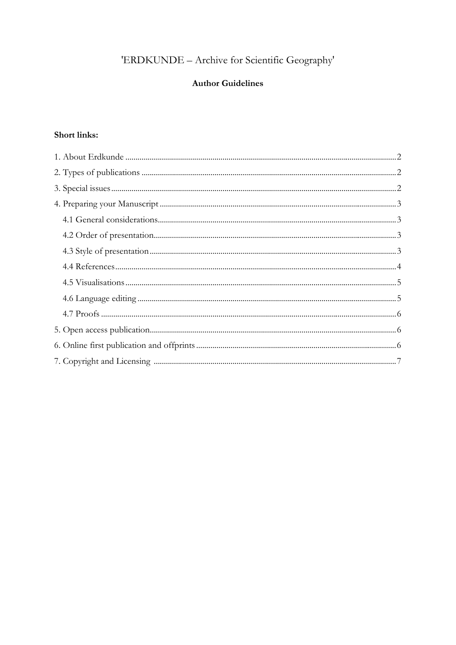# 'ERDKUNDE - Archive for Scientific Geography'

## **Author Guidelines**

## Short links: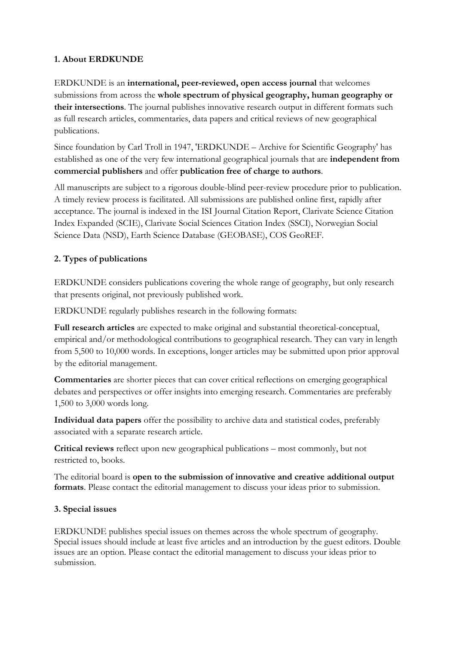## **1. About ERDKUNDE**

ERDKUNDE is an **international, peer-reviewed, open access journal** that welcomes submissions from across the **whole spectrum of physical geography, human geography or their intersections**. The journal publishes innovative research output in different formats such as full research articles, commentaries, data papers and critical reviews of new geographical publications.

Since foundation by Carl Troll in 1947, 'ERDKUNDE – Archive for Scientific Geography' has established as one of the very few international geographical journals that are **independent from commercial publishers** and offer **publication free of charge to authors**.

All manuscripts are subject to a rigorous double-blind peer-review procedure prior to publication. A timely review process is facilitated. All submissions are published online first, rapidly after acceptance. The journal is indexed in the ISI Journal Citation Report, Clarivate Science Citation Index Expanded (SCIE), Clarivate Social Sciences Citation Index (SSCI), Norwegian Social Science Data (NSD), Earth Science Database (GEOBASE), COS GeoREF.

## **2. Types of publications**

ERDKUNDE considers publications covering the whole range of geography, but only research that presents original, not previously published work.

ERDKUNDE regularly publishes research in the following formats:

**Full research articles** are expected to make original and substantial theoretical-conceptual, empirical and/or methodological contributions to geographical research. They can vary in length from 5,500 to 10,000 words. In exceptions, longer articles may be submitted upon prior approval by the editorial management.

**Commentaries** are shorter pieces that can cover critical reflections on emerging geographical debates and perspectives or offer insights into emerging research. Commentaries are preferably 1,500 to 3,000 words long.

**Individual data papers** offer the possibility to archive data and statistical codes, preferably associated with a separate research article.

**Critical reviews** reflect upon new geographical publications – most commonly, but not restricted to, books.

The editorial board is **open to the submission of innovative and creative additional output formats**. Please contact the editorial management to discuss your ideas prior to submission.

#### **3. Special issues**

ERDKUNDE publishes special issues on themes across the whole spectrum of geography. Special issues should include at least five articles and an introduction by the guest editors. Double issues are an option. Please contact the editorial management to discuss your ideas prior to submission.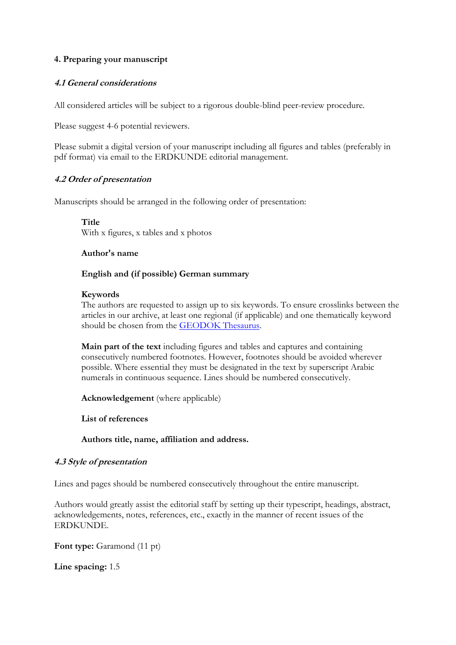#### **4. Preparing your manuscript**

#### **4.1 General considerations**

All considered articles will be subject to a rigorous double-blind peer-review procedure.

Please suggest 4-6 potential reviewers.

Please submit a digital version of your manuscript including all figures and tables (preferably in pdf format) via email to the ERDKUNDE editorial management.

#### **4.2 Order of presentation**

Manuscripts should be arranged in the following order of presentation:

**Title** With x figures, x tables and x photos

#### **Author's name**

#### **English and (if possible) German summary**

#### **Keywords**

The authors are requested to assign up to six keywords. To ensure crosslinks between the articles in our archive, at least one regional (if applicable) and one thematically keyword should be chosen from the GEODOK Thesaurus.

**Main part of the text** including figures and tables and captures and containing consecutively numbered footnotes. However, footnotes should be avoided wherever possible. Where essential they must be designated in the text by superscript Arabic numerals in continuous sequence. Lines should be numbered consecutively.

**Acknowledgement** (where applicable)

**List of references**

**Authors title, name, affiliation and address.**

#### **4.3 Style of presentation**

Lines and pages should be numbered consecutively throughout the entire manuscript.

Authors would greatly assist the editorial staff by setting up their typescript, headings, abstract, acknowledgements, notes, references, etc., exactly in the manner of recent issues of the ERDKUNDE.

**Font type:** Garamond (11 pt)

**Line spacing:** 1.5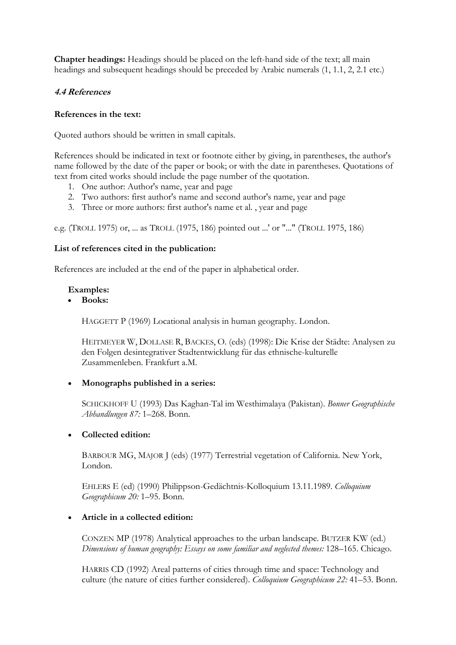**Chapter headings:** Headings should be placed on the left-hand side of the text; all main headings and subsequent headings should be preceded by Arabic numerals (1, 1.1, 2, 2.1 etc.)

#### **4.4 References**

#### **References in the text:**

Quoted authors should be written in small capitals.

References should be indicated in text or footnote either by giving, in parentheses, the author's name followed by the date of the paper or book; or with the date in parentheses. Quotations of text from cited works should include the page number of the quotation.

- 1. One author: Author's name, year and page
- 2. Two authors: first author's name and second author's name, year and page
- 3. Three or more authors: first author's name et al. , year and page

e.g. (TROLL 1975) or, ... as TROLL (1975, 186) pointed out ...' or "..." (TROLL 1975, 186)

#### **List of references cited in the publication:**

References are included at the end of the paper in alphabetical order.

#### **Examples:**

**Books:**

HAGGETT P (1969) Locational analysis in human geography. London.

HEITMEYER W, DOLLASE R, BACKES, O. (eds) (1998): Die Krise der Städte: Analysen zu den Folgen desintegrativer Stadtentwicklung für das ethnische-kulturelle Zusammenleben. Frankfurt a.M.

#### **Monographs published in a series:**

SCHICKHOFF U (1993) Das Kaghan-Tal im Westhimalaya (Pakistan). *Bonner Geographische Abhandlungen 87:* 1–268. Bonn.

#### **Collected edition:**

BARBOUR MG, MAJOR J (eds) (1977) Terrestrial vegetation of California. New York, London.

EHLERS E (ed) (1990) Philippson-Gedächtnis-Kolloquium 13.11.1989. *Colloquium Geographicum 20:* 1–95. Bonn.

#### **Article in a collected edition:**

CONZEN MP (1978) Analytical approaches to the urban landscape. BUTZER KW (ed.) *Dimensions of human geography: Essays on some familiar and neglected themes:* 128–165. Chicago.

HARRIS CD (1992) Areal patterns of cities through time and space: Technology and culture (the nature of cities further considered). *Colloquium Geographicum 22:* 41–53. Bonn.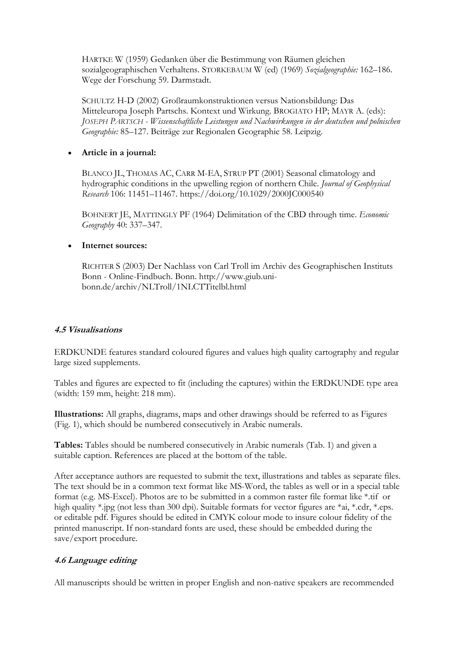HARTKE W (1959) Gedanken über die Bestimmung von Räumen gleichen sozialgeographischen Verhaltens. STORKEBAUM W (ed) (1969) *Sozialgeographie:* 162–186. Wege der Forschung 59. Darmstadt.

SCHULTZ H-D (2002) Großraumkonstruktionen versus Nationsbildung: Das Mitteleuropa Joseph Partschs. Kontext und Wirkung. BROGIATO HP; MAYR A. (eds): *JOSEPH PARTSCH - Wissenschaftliche Leistungen und Nachwirkungen in der deutschen und polnischen Geographie:* 85–127. Beiträge zur Regionalen Geographie 58. Leipzig.

#### **Article in a journal:**

BLANCO JL, THOMAS AC, CARR M-EA, STRUP PT (2001) Seasonal climatology and hydrographic conditions in the upwelling region of northern Chile. *Journal of Geophysical Research* 106: 11451–11467. https://doi.org/10.1029/2000JC000540

BOHNERT JE, MATTINGLY PF (1964) Delimitation of the CBD through time. *Economic Geography* 40: 337–347.

#### **Internet sources:**

RICHTER S (2003) Der Nachlass von Carl Troll im Archiv des Geographischen Instituts Bonn - Online-Findbuch. Bonn. http://www.giub.unibonn.de/archiv/NLTroll/1NLCTTitelbl.html

#### **4.5 Visualisations**

ERDKUNDE features standard coloured figures and values high quality cartography and regular large sized supplements.

Tables and figures are expected to fit (including the captures) within the ERDKUNDE type area (width: 159 mm, height: 218 mm).

**Illustrations:** All graphs, diagrams, maps and other drawings should be referred to as Figures (Fig. 1), which should be numbered consecutively in Arabic numerals.

**Tables:** Tables should be numbered consecutively in Arabic numerals (Tab. 1) and given a suitable caption. References are placed at the bottom of the table.

After acceptance authors are requested to submit the text, illustrations and tables as separate files. The text should be in a common text format like MS-Word, the tables as well or in a special table format (e.g. MS-Excel). Photos are to be submitted in a common raster file format like \*.tif or high quality \*.jpg (not less than 300 dpi). Suitable formats for vector figures are \*ai, \*.cdr, \*.eps. or editable pdf. Figures should be edited in CMYK colour mode to insure colour fidelity of the printed manuscript. If non-standard fonts are used, these should be embedded during the save/export procedure.

#### **4.6 Language editing**

All manuscripts should be written in proper English and non-native speakers are recommended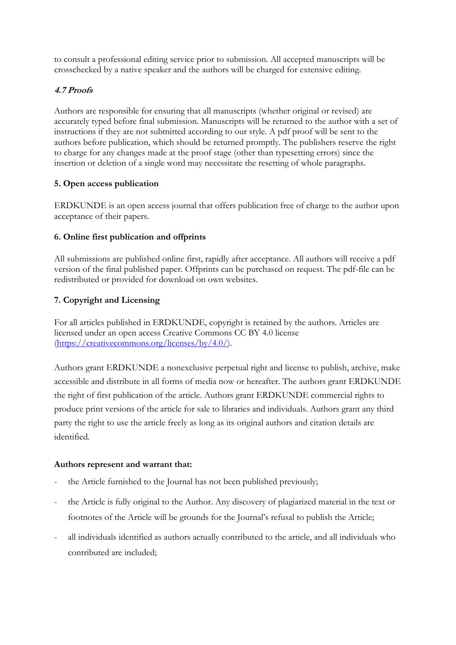to consult a professional editing service prior to submission. All accepted manuscripts will be crosschecked by a native speaker and the authors will be charged for extensive editing.

### **4.7 Proofs**

Authors are responsible for ensuring that all manuscripts (whether original or revised) are accurately typed before final submission. Manuscripts will be returned to the author with a set of instructions if they are not submitted according to our style. A pdf proof will be sent to the authors before publication, which should be returned promptly. The publishers reserve the right to charge for any changes made at the proof stage (other than typesetting errors) since the insertion or deletion of a single word may necessitate the resetting of whole paragraphs.

## **5. Open access publication**

ERDKUNDE is an open access journal that offers publication free of charge to the author upon acceptance of their papers.

## **6. Online first publication and offprints**

All submissions are published online first, rapidly after acceptance. All authors will receive a pdf version of the final published paper. Offprints can be purchased on request. The pdf-file can be redistributed or provided for download on own websites.

## **7. Copyright and Licensing**

For all articles published in ERDKUNDE, copyright is retained by the authors. Articles are licensed under an open access Creative Commons CC BY 4.0 license (https://creativecommons.org/licenses/by/4.0/).

Authors grant ERDKUNDE a nonexclusive perpetual right and license to publish, archive, make accessible and distribute in all forms of media now or hereafter. The authors grant ERDKUNDE the right of first publication of the article. Authors grant ERDKUNDE commercial rights to produce print versions of the article for sale to libraries and individuals. Authors grant any third party the right to use the article freely as long as its original authors and citation details are identified.

#### **Authors represent and warrant that:**

- the Article furnished to the Journal has not been published previously;
- the Article is fully original to the Author. Any discovery of plagiarized material in the text or footnotes of the Article will be grounds for the Journal's refusal to publish the Article;
- all individuals identified as authors actually contributed to the article, and all individuals who contributed are included;